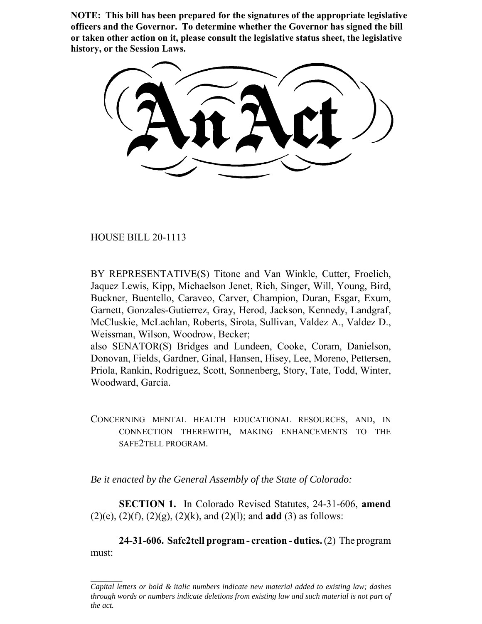**NOTE: This bill has been prepared for the signatures of the appropriate legislative officers and the Governor. To determine whether the Governor has signed the bill or taken other action on it, please consult the legislative status sheet, the legislative history, or the Session Laws.**

HOUSE BILL 20-1113

BY REPRESENTATIVE(S) Titone and Van Winkle, Cutter, Froelich, Jaquez Lewis, Kipp, Michaelson Jenet, Rich, Singer, Will, Young, Bird, Buckner, Buentello, Caraveo, Carver, Champion, Duran, Esgar, Exum, Garnett, Gonzales-Gutierrez, Gray, Herod, Jackson, Kennedy, Landgraf, McCluskie, McLachlan, Roberts, Sirota, Sullivan, Valdez A., Valdez D., Weissman, Wilson, Woodrow, Becker;

also SENATOR(S) Bridges and Lundeen, Cooke, Coram, Danielson, Donovan, Fields, Gardner, Ginal, Hansen, Hisey, Lee, Moreno, Pettersen, Priola, Rankin, Rodriguez, Scott, Sonnenberg, Story, Tate, Todd, Winter, Woodward, Garcia.

CONCERNING MENTAL HEALTH EDUCATIONAL RESOURCES, AND, IN CONNECTION THEREWITH, MAKING ENHANCEMENTS TO THE SAFE2TELL PROGRAM.

*Be it enacted by the General Assembly of the State of Colorado:*

**SECTION 1.** In Colorado Revised Statutes, 24-31-606, **amend** (2)(e), (2)(f), (2)(g), (2)(k), and (2)(l); and **add** (3) as follows:

**24-31-606. Safe2tell program - creation - duties.** (2) The program must:

*Capital letters or bold & italic numbers indicate new material added to existing law; dashes through words or numbers indicate deletions from existing law and such material is not part of the act.*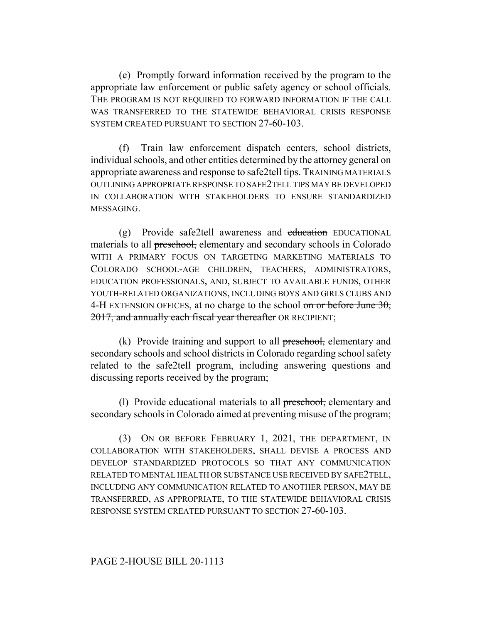(e) Promptly forward information received by the program to the appropriate law enforcement or public safety agency or school officials. THE PROGRAM IS NOT REQUIRED TO FORWARD INFORMATION IF THE CALL WAS TRANSFERRED TO THE STATEWIDE BEHAVIORAL CRISIS RESPONSE SYSTEM CREATED PURSUANT TO SECTION 27-60-103.

(f) Train law enforcement dispatch centers, school districts, individual schools, and other entities determined by the attorney general on appropriate awareness and response to safe2tell tips. TRAINING MATERIALS OUTLINING APPROPRIATE RESPONSE TO SAFE2TELL TIPS MAY BE DEVELOPED IN COLLABORATION WITH STAKEHOLDERS TO ENSURE STANDARDIZED MESSAGING.

(g) Provide safe2tell awareness and education EDUCATIONAL materials to all preschool, elementary and secondary schools in Colorado WITH A PRIMARY FOCUS ON TARGETING MARKETING MATERIALS TO COLORADO SCHOOL-AGE CHILDREN, TEACHERS, ADMINISTRATORS, EDUCATION PROFESSIONALS, AND, SUBJECT TO AVAILABLE FUNDS, OTHER YOUTH-RELATED ORGANIZATIONS, INCLUDING BOYS AND GIRLS CLUBS AND 4-H EXTENSION OFFICES, at no charge to the school  $\sigma$  or before June 30, 2017, and annually each fiscal year thereafter OR RECIPIENT;

(k) Provide training and support to all preschool, elementary and secondary schools and school districts in Colorado regarding school safety related to the safe2tell program, including answering questions and discussing reports received by the program;

(l) Provide educational materials to all preschool, elementary and secondary schools in Colorado aimed at preventing misuse of the program;

(3) ON OR BEFORE FEBRUARY 1, 2021, THE DEPARTMENT, IN COLLABORATION WITH STAKEHOLDERS, SHALL DEVISE A PROCESS AND DEVELOP STANDARDIZED PROTOCOLS SO THAT ANY COMMUNICATION RELATED TO MENTAL HEALTH OR SUBSTANCE USE RECEIVED BY SAFE2TELL, INCLUDING ANY COMMUNICATION RELATED TO ANOTHER PERSON, MAY BE TRANSFERRED, AS APPROPRIATE, TO THE STATEWIDE BEHAVIORAL CRISIS RESPONSE SYSTEM CREATED PURSUANT TO SECTION 27-60-103.